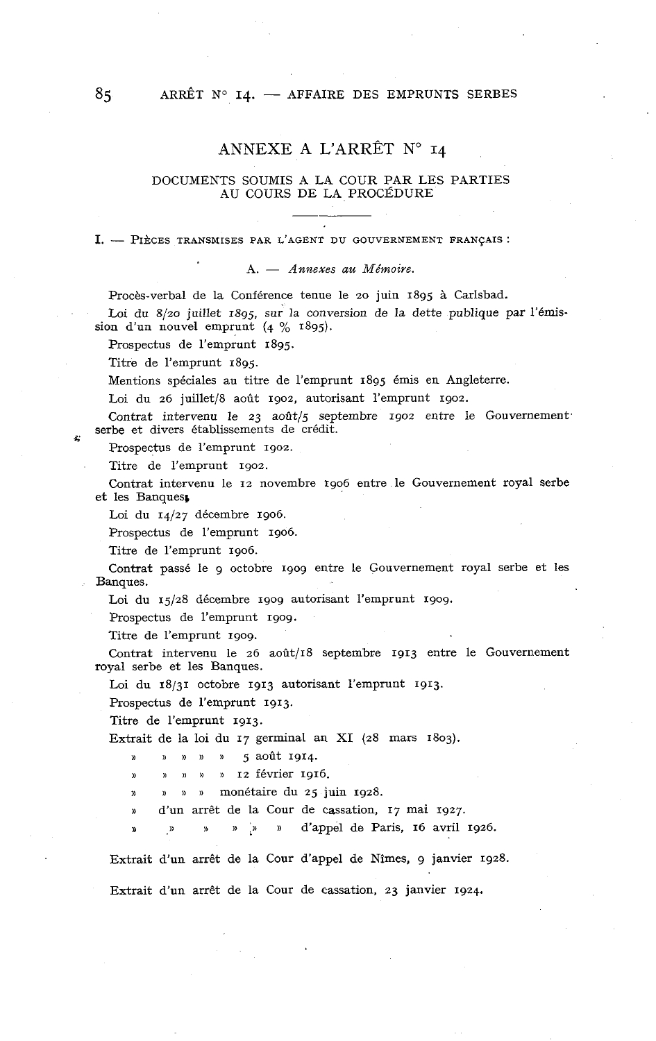# ANNEXE A L'ARRÊT N° 14

### DOCUMENTS SOUMIS A LA COUR PAR LES PARTIES AU COURS DE LA PROCÉDURE

**1.** - PIÈCES TRANSMISES PAR L'AGENT DU GOUVERNEMENT FRANÇAIS :

A. - *Annexes* au *Mémoire.* 

Procès-verbal de la Conférence tenue le 20 juin 1895 à Carlsbad.

Loi du 8/20 juillet 1895, sur la conversion de la dette publique par l'émission d'un nouvel emprunt (4 % 1895).

Prospectus de l'emprunt 1895.

Titre de l'emprunt 1895.

Mentions spéciales au titre de l'emprunt 1895 émis en Angleterre.

Loi du 26 juillet/8 août 1902, autorisant l'emprunt 1902.

Contrat intervenu le 23 août/5 septembre 1902 entre le Gouvernement. serbe et divers établissements de crédit.

Prospectus de l'emprunt 1902.

Titre de l'emprunt 1902.

Contrat intervenu le 12 novembre 1906 entre le Gouvernement royal serbe et les Banques,

Loi du 14/27 décembre 1906.

Prospectus de l'emprunt 1906.

Titre de l'emprunt 1906.

Contrat passé le g octobre 1909 entre le Gouvernement royal serbe et les Banques.

Loi du 15/28 décembre 1909 autorisant l'emprunt 1909.

Prospectus de l'emprunt 1909.

Titre de l'emprunt 1909.

Contrat intervenu le 26 août/18 septembre 1913 entre le Gouvernement royal serbe et les Banques.

Loi du 18/31 octobre 1913 autorisant l'emprunt 1913.

Prospectus de l'emprunt 1913.

Titre de l'emprunt 1913.

Extrait de la loi du 17 germinal an XI (28 mars 1803).

)) » » » **D** 5 août 1914.

» <sup>12</sup> février 1916.

» **s** )) **1)** monétaire du 25 juin 1928.

**I)** d'un arrêt de la Cour de cassation, 17 mai 1927.

**D**  $\mu$  **B**  $\mu$  **p**  $\mu$  **p**  $\mu$  **d'appel de Paris, 16 avril 1926.** 

Extrait d'un arrêt de la Cour d'appel de Nîmes, g janvier 1928.

Extrait d'un arrêt de la Cour de cassation, 23 janvier 1924.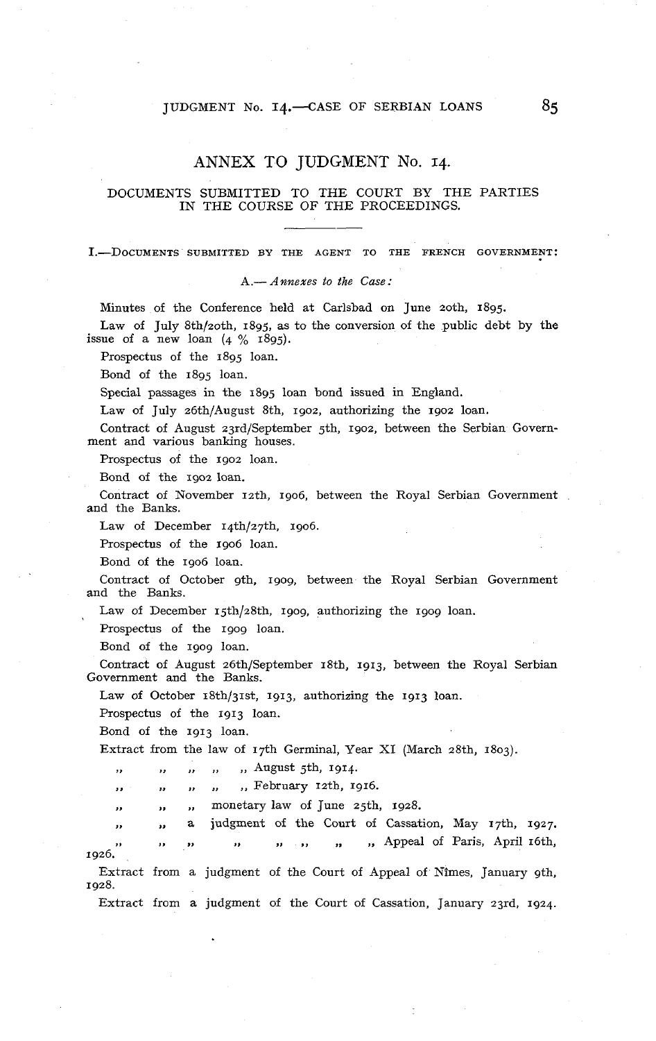### JUDGMENT No. 14.-CASE OF SERBIAN LOANS

### ANNEX TO JUDGMENT No. 14.

### DOCUMENTS SUBMITTED TO THE COURT BY THE PARTIES IN THE COURSE OF THE PROCEEDINGS.

I.-DOCUMENTS SUBMITTED BY THE AGENT TO THE FRENCH GOVERNMENT:

A.- *Annexes* to *the Case* :

Minutes of the Conference held at Carlsbad on June zoth, 1895.

Law of July 8th/zoth, 1895, as to the conversion of the public debt by the issue of a new loan  $(4 \frac{\%}{6} 1895)$ .

Prospectus of the 1895 loan.

Bond of the 1895 loan.

Special passages in the 1895 loan bond issued in England.

Law of July z6th/August Sth, 1902, authorizing the 1902 loan.

Contract of August 23rd/September 5th, 1902, between the Serbian Government and various banking houses.

Prospectus of the 1902 loan.

Bond of the 1902 loan.

Contract of November 12th, 1906, between the Royal Serbian Government and the Banks.

Law of December 14th/27th, 1906.

Prospectus of the 1906 loan.

Bond of the 1906 loan.

Contract of October gth, 1909, between the Royal Serbian Government and the Banks.

Law of December 15th/z8th, 1909, authorizing the 1909 loan.

Prospectus of the 1909 loan.

Bond of the 1909 loan.

Contract of August 26th/September 18th, 1913, between the Royal Serbian Government and the Banks.

Law of October 18th/31st, 1913, authorizing the 1913 loan.

Prospectus of the 1913 loan.

Bond of the 1913 loan.

Extract from the law of 17th Germinal, Year XI (March 28th, 1803).

,, ,, ,, August 5th, 1914.

,, ,, ,, ,, ,, February 12th, 1916.

,, ,, monetary law of June ajth, 1928. j,

,, a judgment of the Court of Cassation, May 17th, 1927. ,, **I>** ,> ,, ,, ,, ,, Appeal of Paris, April 16th, .,<br>.1926 Extract from a judgment of the Court of Appeal of Nîmes, January gth, 1928.

Extract from a judgment of the Court of Cassation, January 23rd, 1924.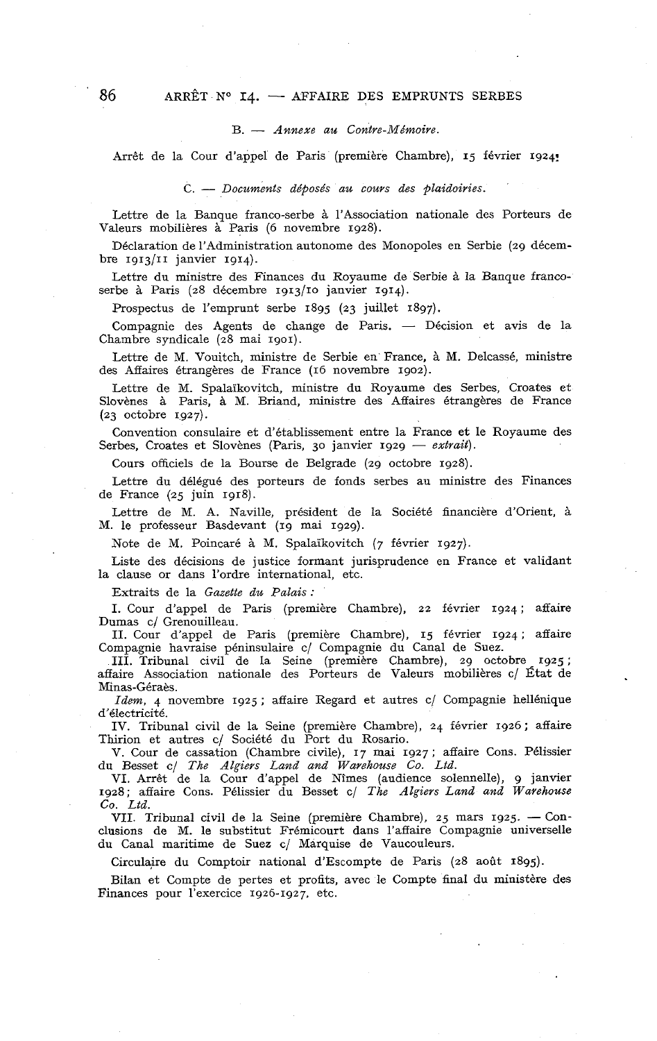#### B. - *Annexe au Contre-Mémoire.*

Arrêt de la Cour d'appel de Paris (première Chambre), 15 février 1g24!

C. - *Documents déposés au cours des plaidoiries.* 

Lettre de la Banque franco-serbe à l'Association nationale des Porteurs de Valeurs mobilières à Paris (6 novembre 1928).

Déclaration de l'Administration autonome des Monopoles en Serbie (29 décembre  $1913/11$  janvier  $1914$ ).

Lettre du ministre des Finances du Royaume de Serbie à la Banque francoserbe à Paris (28 décembre 1g13/1o janvier 1914).

Prospectus de l'emprunt serbe 1895 (23 juillet 1897).

Compagnie des Agents de change de Paris. - Décision et avis de la Chambre syndicale (28 mai 1901).

Lettre de M. Vouitch, ministre de Serbie en France, à M. Delcassé, ministre des Affaires étrangères de France (16 novembre 1902).

Lettre de M. Spalaïkovitch, ministre du Royaume des Serbes, Croates et Slovènes à Paris, à M. Briand, ministre des Affaires étrangères de France (23 octobre 1927).

Convention consulaire et d'établissement entre la France et le Royaume des Serbes, Croates et Slovènes (Paris, 30 janvier 1929 - extrait).

Cours officiels de la Bourse de Belgrade (29 octobre 1928).

Lettre du délégué des porteurs de fonds serbes au ministre des Finances de France (25 juin 1918).

Lettre de M. A. Naville, président de la Société financière d'Orient, à M. le professeur Basdevant (19 mai 1929).

Note de M. Poincaré à M. Spalaïkovitch (7 février 1927).

Liste des décisions de justice formant jurisprudence en France et validant la clause or dans l'ordre international, etc.

Extraits de la *Gazette du Palais* :

1. Cour d'appel de Paris (première Chambre), 22 février 1924; affaire Dumas c/ Grenouilleau.

II. Cour d'appel de Paris (première Chambre), 15 février 1924 ; affaire Compagnie havraise péninsulaire c/ Compagnie du Canal de Suez.

III. Tribunal civil de Ia Seine (première Chambre), 29 octobre 1925 ; affaire Association nationale des Porteurs de Valeurs mobilières cl État de Minas-Géraès.

*Idem,* 4 novembre 1925 ; affaire Regard et autres c/ Compagnie hellénique d'électricité.

IV. Tribunal civil de la Seine (première Chambre), 24 février 1926 ; affaire Thirion et autres c/ Société du Port du Rosario.

V. Cour de cassation (Chambre civile), 17 mai 1927 ; affaire Cons. Pélissier du Besset c/ *The Algiers Land and Warehouse Co. Ltd.* 

VI. Arrêt de la Cour d'appel de Nîmes (audience solennelle), g janvier 1928; affaire Cons. Pélissier du Besset c/ *The Algiers Land and Warehouse*<br>
Co. Ltd.<br>
VII. Tribunal civil de la Seine (première Chambre), 25 mars 1925. – Con-<br>
clusions de M. le substitut Frémicourt dans l'affaire Compagn

*Co. Ltd.* **VII.** Tribunal civil de la Seine (première Chambre), 25 mars 1925. — Conclusions de M. le substitut Frémicourt dans l'affaire Compagnie universelle du Canal maritime de Suez c/ Marquise de Vaucouleurs.

Circulaire du Comptoir national d'Escompte de Paris (28 août 1895).

Bilan et Compte de pertes et profits, avec le Compte final du ministère des Finances pour l'exercice 1926-1927, etc.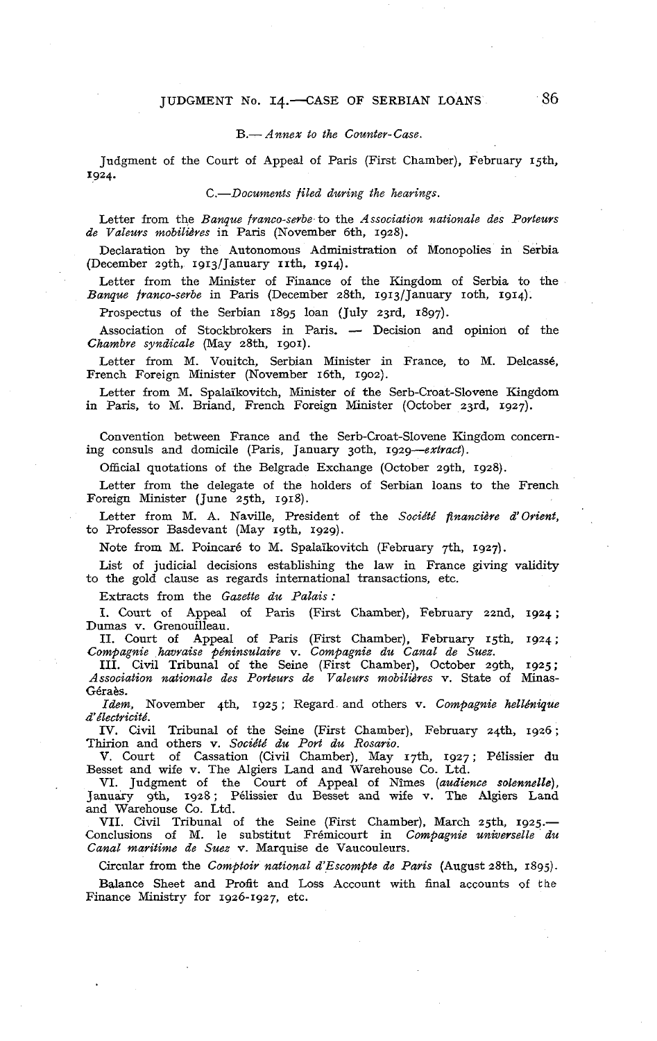#### B.- *Annex to the Counter-Case*.

Judgment of the Court of Appeal of Pans (First Chamber), February 15th, 1924.

*C.-Documents filed durirzg the hearings.* 

Letter from the *Banque franco-serbe* to the *Association nationale des Porteurs de Valeurs mobilières* in Pans (November 6th, 1928).

Declaration by the Autonomous Administration of Monopolies in Serbia (December 29th, 1913/January 11th, 1914).

Letter from the Minister of Finance of the Kingdom of Serbia to the *Banque franco-serbe* in Paris (December 28th, 1913/January 10th, 1914).

Prospectus of the Serbian 1895 loan (July 23rd, 1897).

Association of Stockbrokers in Paris. - Decision and opinion of the *Chambre syndicale* (May 28th. 1901).

Letter from M. Vouitch, Serbian Minister in France, to M. Delcassé, French Foreign Minister (November 16th. 1902).

Letter from M. Spalaïkovitch, Minister of the Serb-Croat-Slovene Kingdom in Paris, to M. Briand, French Foreign Minister (October 23rd, 1927).

Convention between France and the Serb-Croat-Slovene Kingdom concerning consuls and domicile (Paris, January joth, *1929-extract).* 

Official quotations of the Belgrade Exchange (October zgth, 1928).

Letter from the delegate of the holders of Serbian loans to the French Foreign Minister (June 25th, 1918).

Letter from M. A. Naville, President of the *Société financière d'orient,*  to Professor Basdevant (May 19th. 1929).

Note from M. Poincaré to M. Spalaïkovitch (February 7th, 1927).

List of judicial decisions establishing the law in France giving validity to the gold clause as regards international transactions, etc.

Extracts from the *Gazette du Palais* :

I. Court of Appeal of Paris (First Chamber), February 22nd, 1924; Dumas v. Grenouilleau.

II. Court of Appeal of Paris (First Chamber). February 15th. 1924; *Compagnie havraise péninsulaire* v. *Compagnie du Canal de Suez.* 

III. Civil Tribunal of the Seine (First Chamber), October zgth, 1925; *Association nationale des Porteurs de Valeurs mobilières* v. State of Minas-Géra&.

*Idem,* Novernber 4th, 1925 ; Regard and others v. *Compagnie helldnique d'électricité.* 

IV. Civil Tribunal of the Seine (First Chamber), February z4th, 1926 ; Thirion and others v. *Société du Port du Rosario.* 

V. Court of Cassation (Civil Chamber), May 17th, 1927; Pélissier du Besset and wife v. The Algiers Land and Warehouse Co. Ltd.

VI. Judgment of the Court of Appeal of Nîmes *(audience solennelle)*, January 9th, 1928; Pélissier du Besset and wife v. The Algiers Land and Warehouse Co. Ltd.

VII. Civil Tribunal of the Seine (First Chamber), March 25th, 1925.-Conclusions of M. le substitut Frémicourt in *Compagnie universelle du Canal maritime de Suez* v. Marquise de Vaucouleurs.

Circular from the *Comptoir national d'Escompte de Paris* (August 28th. 1895).

Balance Sheet and Profit and Loss Account with final accounts of the Finance Ministry for 1926-1927, etc.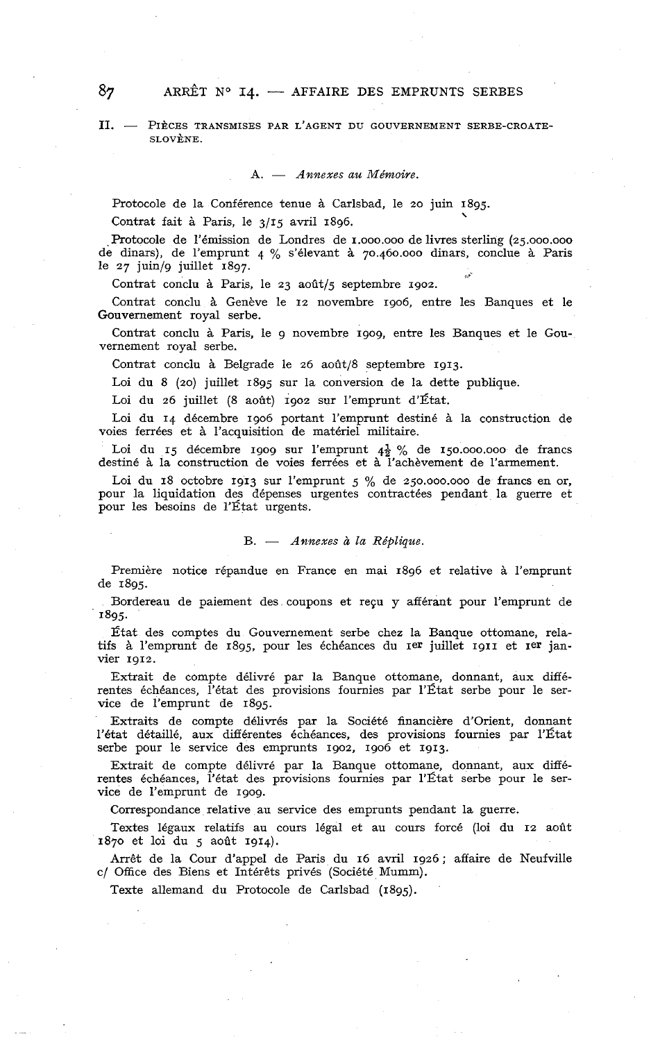#### II. - PIÈCES TRANSMISES PAR L'AGENT DU GOUVERNEMENT SERBE-CROATE-SLOVÈNE.

*A.* - *Annexes au Mémoire.* 

Protocole de la Conférence tenue à Carlsbad, le 20 juin 1895.

Contrat fait à Paris, le  $3/15$  avril 1896.

Protocole de l'émission de Londres de  $1.000.000$  de livres sterling  $(25.000.000)$ de dinars), de l'emprunt 4 % s'élevant à 7o.460.000 dinars, conclue à Paris le 27 juin/g juillet 1897.

Contrat conclu à Paris, le 23 août/5 septembre 1902.

Contrat conclu à Genève le 12 novembre 1906, entre les Banques et le Gouvernement royal serbe.

Contrat conclu à Pans, le g novembre 1909, entre les Banques et le Gouvernement royal serbe.

Contrat conclu à Belgrade le 26 août/8 septembre 1913.

Loi du 8 (20) juillet 1895 sur la conversion de la dette publique.

Loi du 26 juillet (8 août) 1902 sur l'emprunt d'État.

Loi du 14 décembre 1906 portant l'emprunt destiné à la construction de voies ferrées et à l'acquisition de matériel militaire.

Loi du 15 décembre 1909 sur l'emprunt  $4\frac{1}{2}$  % de 150.000.000 de francs destiné à la construction de voies ferrées et à l'achèvement de l'armement.

Loi du 18 octobre 1913 sur l'emprunt 5 % de 250.000.000 de francs en or. pour la liquidation des dépenses urgentes contractées pendant la guerre et pour les besoins de l'État urgents.

#### B. - *Annexes* à *la Réplique.*

Première notice répandue en France en mai 1896 et relative à l'emprunt de 1895.

Bordereau de paiement des. coupons et reçu y afférant pour l'emprunt de 1895.

État des comptes du Gouvernement serbe chez la Banque ottomane, relatifs à l'emprunt de 1895, pour les échéances du Ier juillet 1911 et Ier janvier 1912.

Extrait de compte délivré par la Banque ottomane, donnant, aux **difié**rentes échéances, l'état des provisions fournies par l'État serbe pour le service de l'emprunt de 1895.

Extraits de compte délivrés par la Société financière d'orient, donnant l'état détaillé, aux différentes échéances, des provisions fournies par l'État serbe pour le service des emprunts 1902, 1906 et 1913.

Extrait de compte délivré par la Banque ottomane, donnant, aux différentes échéances, l'état des provisions fournies par l'État serbe pour le service de l'emprunt de 1909.

Correspondance relative au service des emprunts pendant la guerre.

Textes légaux relatifs au cours légal et au cours forcé (loi du 12 août 1870 et loi du 5 août 1914).

Arrêt de la Cour d'appel de Paris du 16 avril 1926 ; affaire de Neufville c/ Office des Biens et Intérêts privés (Société Mumm).

Texte allemand du Protocole de Carlsbad (1895).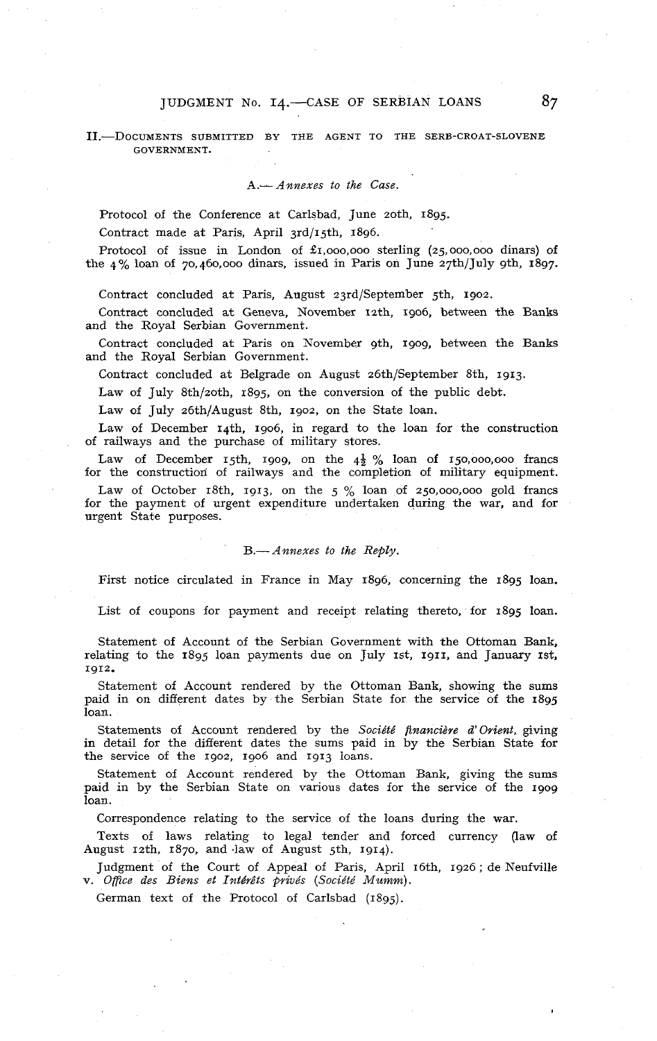### JUDGMENT No. I4.--CASE OF SERBIAN LOANS **87**

### II.-DOCUMENTS SUBMITTED BY THE AGENT TO THE SERB-CROAT-SLOVENE GOVERNMENT.

A.- *Annexes to the Case.* 

Protocol of the Conference at Carlsbad, June 2oth, 1895.

Contract made at Paris, April 3rd/15th, 1896.

Protocol of issue in London of  $\pounds$ 1,000,000 sterling (25,000,000 dinars) of the  $4\%$  loan of 70,460,000 dinars, issued in Paris on June 27th/July 9th, 1897.

Contract concluded at Paris, August 23rd/September 5th, 1902.

Contract concluded at Geneva, November 12th, 1906, between the Banks and the Royal Serbian Government.

Contract concluded at Paris on November 9th. 1909, between the Banks and the Royal Serbian Govemment.

Contract concluded at Belgrade on August 26th/September 8th, 1913.

Law of July 8th/2oth, 1895, on the conversion of the public debt.

Law of July 26th/August 8th, 1902, on the State loan.

Law of December 14th. 1906, in regard to the loan for the construction of railways and the purchase of military stores.

Law of December 15th, 1909, on the  $4\frac{1}{2}$  % loan of 150,000,000 francs for the construction of railways and the completion of military equipment.

Law of October 18th, 1913, on the  $5\%$  loan of 250,000,000 gold francs for the payment of urgent expenditure undertaken during the war, and for urgent State purposes.

#### B.- Annexes to the Reply.

First notice circulated in France in May 1896, concerning the 1895 loan.

List of coupons for payment and receipt relating thereto, for 1895 loan.

Statement of Account of the Serbian Government with the Ottoman Bank, relating to the  $1895$  loan payments due on July  $15t$ ,  $1911$ , and January  $15t$ , 1912.

Statement of Account rendered by the Ottoman Bank, showing the sums paid in on different dates by the Serbian State for the service of the 1895 loan.

Statements of Account rendered by the *Société financière d'orient,* giving in detail for the different dates the sums paid in by the Serbian State for the service of the 1902, 1906 and 1913 loans.

Statement of Account rendered by the Ottoman Bank, giving the sums paid in by the Serbian State on various dates for the service of the 1909 loan.

Correspondence relating to the service of the loans during the war.

Texts of laws relating to legal tender and forced currency (law of August  $12th$ ,  $1870$ , and law of August 5th, 1914).

Judgment of the Court of Appeal of Paris, April 16th, 1926; de Neufville v. *Omce des Biens et Intdrêts @rivés (Socidté* Mumm).

German text of the Protocol of Carlsbad (1895).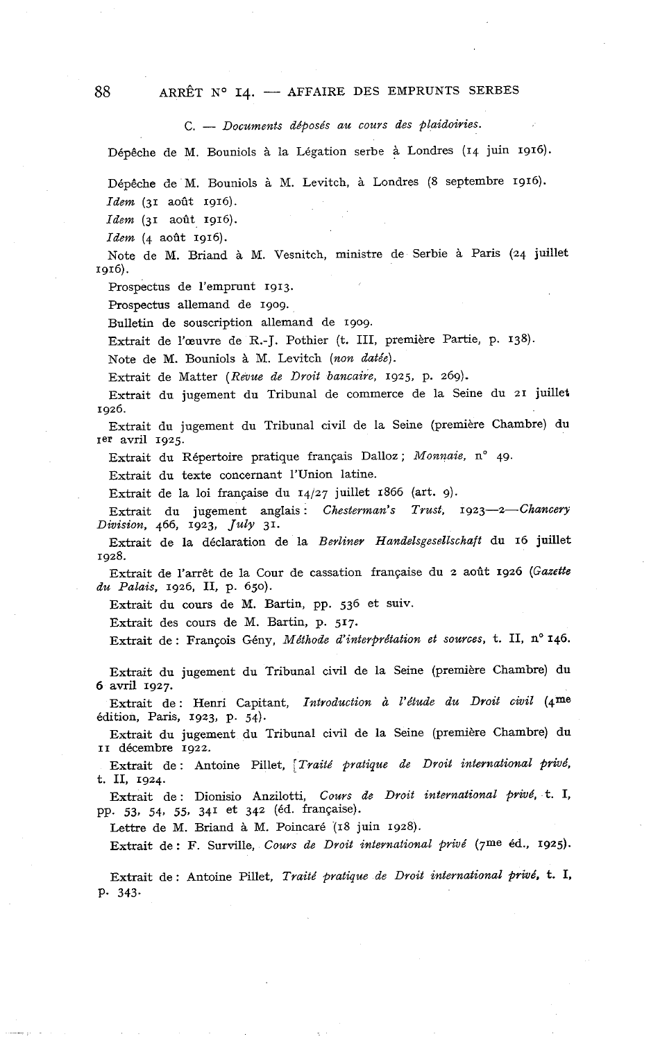*C.* - *Documents déposés au cours des plaidoiries.* 

Dépêclie de M. Bouniols à la Légation serbe à Londres (14 juin 1916).

Dépêche de M. Bouniols à M. Levitch, à Londres (8 septembre 1916).

*Idem* (31 août 1916).

*Idem* (31 août 1916).

*Idem* (4 août 1916).

Note de M. Briand à M. Vesnitch, ministre de Serbie à Paris (24 juillet 1916).

Prospectus de l'emprunt 1913.

Prospectus allemand de 1909.

Bulletin de souscription allemand de 1909.

Extrait de l'œuvre de R.-J. Pothier (t. III, première Partie, p. 138).

Note de M. Bouniols à M. Levitch *(non datée).* 

Extrait de Matter (Revue de Droit bancaire, 1925, p. 269).

Extrait du jugement du Tribunal de commerce de la Seine du 21 juillet 1926.

Extrait du jugement du Tribunal civil de la Seine (première Chambre) du Ier avril 1925.

Extrait du Répertoire pratique français Dalloz; Monnaie, n° 49.

Extrait du texte concernant l'Union latine.

Extrait de la loi française du 14/27 juillet 1866 (art. 9).

Extrait du jugement anglais: *Chesterman's Trust*, 1923-2-Chancery *Division,* 466, 1923, *July* 31.

Extrait de la déclaration de la *Berliner Handelsgesellschaft* du 16 juillet 1928.

Extrait de l'arrêt de la Cour de cassation française du 2 août 1926 *(Gazette du Palais,* 1926, II, p. 650).

Extrait du cours de M. Bartin, pp. 536 et suiv.

Extrait des cours de M. Bartin, p. 517.

Extrait de : François Gény, Méthode d'interprétation et sources, t. II, n° 146.

Extrait du jugement du Tribunal civil de la Seine (première Chambre) du 6 avril 1927.

Extrait de : Henri Capitant, *Introduction* à *l'étude du Droit civil* (qme édition, Paris, 1923, p. 54).

Extrait du jugement du Tribunal civil de la Seine (première Chambre) du II décembre 1922.

Extrait de : Antoine Pillet, *[Traité pratique de Droit international privé*, t. II, 1924.

Extrait de : Dionisio Anzilotti, *Cours de Droit international privé,* t. 1, PP. 53, 54, 55. 341 et 342 (éd. française).

Lettre de M. Briand à M. Poincaré (18 juin 1928).

Extrait de : F. Surville, *Cours de Droit international privé* (7me éd., 1925).

Extrait de : Antoine Pillet, *Traité pratique de Droit international privé,* t. 1, P. 343.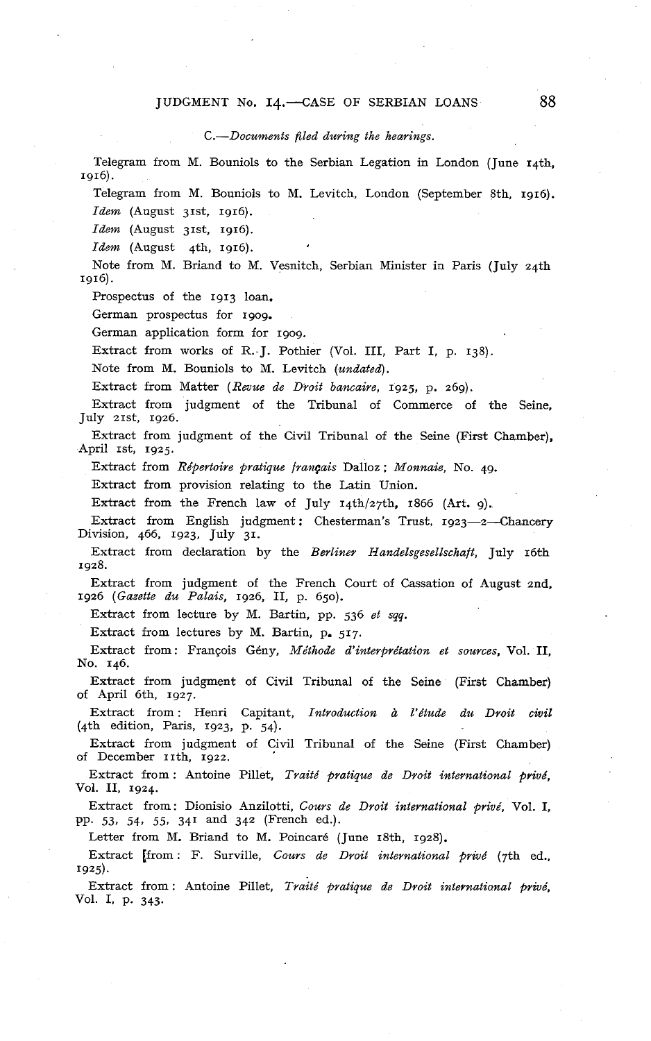### JUDGMENT No. 14. CASE OF SERBIAN LOANS 88

### *C.-Documents filed during the hearings.*

Telegram from M. Bouniols to the Serbian Legation in London (June 14th. 1916).

Telegram from M. Bouniols to M. Levitch, London (September 8th, 1916). *Idem* (August 31st, 1916).

*Idenz* (August 31st, 1916).

*Idem* (August 4th, 1916).

Note from M. Briand to M. Vesnitch, Serbian Minister in Paris (July 24th 1916).

Prospectus of the 1913 loan.

German prospectus for 1909.

German application form for 1909.

Extract from works of R..J. Pothier (Vol. III, Part 1, p. 138).

Note from M. Bouniols to M. Levitch *(undated).* 

Extract from Matter *(Revue de Droit bancaire,* 1925, p. 269).

Extract from judgment of the Tribunal of Commerce of the Seine, July 21st, 1926.

Extract from judgment of the Civil Tribunal of the Seine (First Chamber), April 1st, 1925.

Extract from *Répertoire pratique français* Dalloz ; *Monnaie,* No. 49.

Extract from provision relating to the Latin Union.

Extract from the French law of July  $14th/27th$ , 1866 (Art. 9).

Extract from English judgment: Chesterman's Trust, 1923-2-Chancery Division, 466, 1923, July 31.

Extract from declaration by the *Berliner Handelsgesellschaft,* July 16th 1928.

Extract from judgment of the French Court of Cassation of August 2nd. 1926 *(Gazette du Palais,* 1926, II, p. 650).

Extract from lecture by M. Bartin, pp. 536 *et sqq.* 

Extract from lectures by M. Bartin, p. 517,

Extract from: François Gény, *Méthode d'interprétation et sources,* Vol. II, No. 146.

Extract from judgment of Civil Tribunal of the Seine (First Chamber) of April 6th, 1927.

Extract from : Henri Capitant, *Introduction* à *l'étude du Droit civil*  (4th edition, Paris, 1923, p. 54).

Extract from judgment of Civil Tribunal of the Seine (First Chamber) of December 11th, 1922.

Extract from : Antoine Pillet, *Traité pratique de Droit international privé,*  Vol. II, 1924.

Extract from: Dionisio Anzilotti, *Cours de Droit international privé,* Vol. 1, PP 53, 54, 55. 341 and 342 (French ed.).

Letter from M. Briand to M. Poincaré (June 18th, 1928).

Extract [from : F. Surville, *Cours de Droit international privé* (7th ed., 1925).

Extract from : Antoine Pillet, *Traité pratique de Droit internatianal privé,*  Vol. 1, p. 343.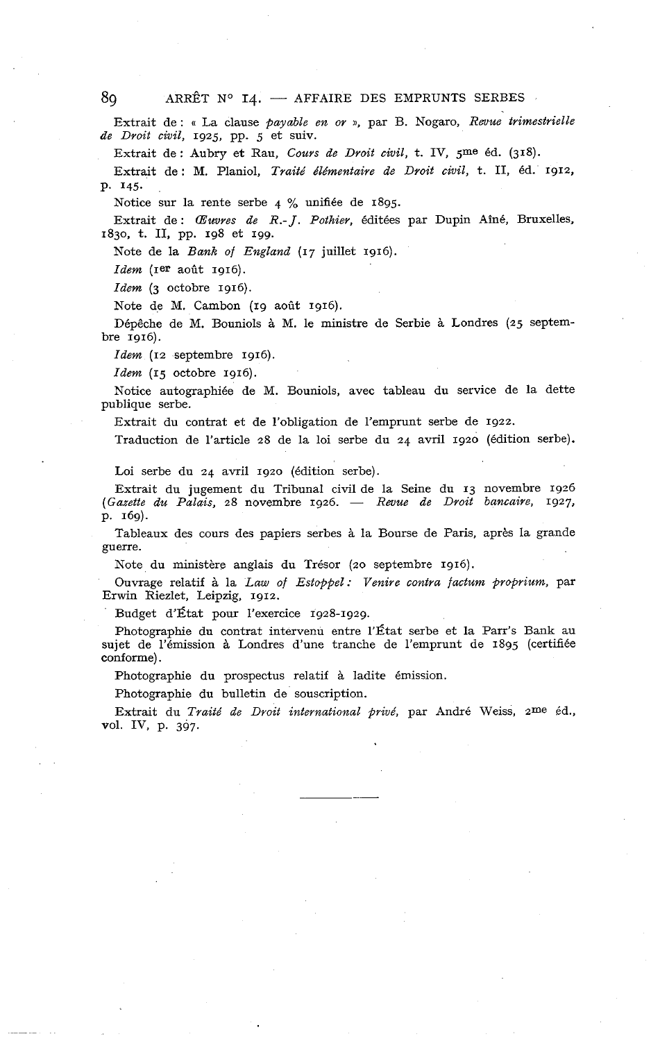Extrait de : « La clause *payable en or* a, par B. Nogaro, *Revue trimestrielle de Droit civil,* 1925, pp. 5 et suiv.

Extrait de : Aubry et Rau, *Cours de Droit civil,* t. IV, 5me éd. (318).

Extrait de : M. Planiol, *Traité dldmentaire de Droit civil,* t. II, éd. 1912, P. 145.

Notice sur la rente serbe 4 % unifiée de 1895.

Extrait de : *CEuures de R.- J. Pothier,* éditées par Dupin Aîné, Bruxelles, 1830, t. II, pp. 198 et 199.

Note de la *Bank of England* (17 juillet 1916).

*Idem* (1er août 1916).

*Idem* **(3** octobre 1916).

Note de M. Cambon (19 août 1916).

Dépêche de M. Bouniols à M. le ministre de Serbie à Londres (25 septembre 1916).

*Idem* (12 septembre 1916).

*Idem* (15 octobre 1916).

Notice autographiée de M. Bouniols, avec tableau du service de la dette publique serbe.

Extrait du contrat et de l'obligation de l'emprunt serbe de 1922.

Traduction de l'article 28 de la loi serbe du 24 avril 1920 (édition serbe).

Loi serbe du 24 avril 1920 (édition serbe).

Extrait du jugement du Tribunal civil de la Seine du 13 novembre 1926 *(Gazette du Palais,* 28 novembre 1926. - *Revue de Droit bancaire,* 1927. P. 169).

Tableaux des cours des papiers serbes à la Bourse de Paris, après la grande guerre.

Note du ministère anglais du Trésor (20 septembre 1916).

Ouvrage relatif à la *Law of Estoppel: Venire contra factum proprium,* par Erwin Riezlet, Leipzig, 1912.

Budget d'État pour l'exercice 1928-1929.

Photographie du contrat intervenu entre l'État serbe et la Parr's Bank au sujet de l'émission à Londres d'une tranche de l'emprunt de 1895 (certifiée conforme).

Photographie du prospectus relatif à ladite émission.

Photographie du bulletin de souscription.

Extrait du *Traité de Droit international privé,* par André Weiss, zme éd., vol. IV, p. 397.